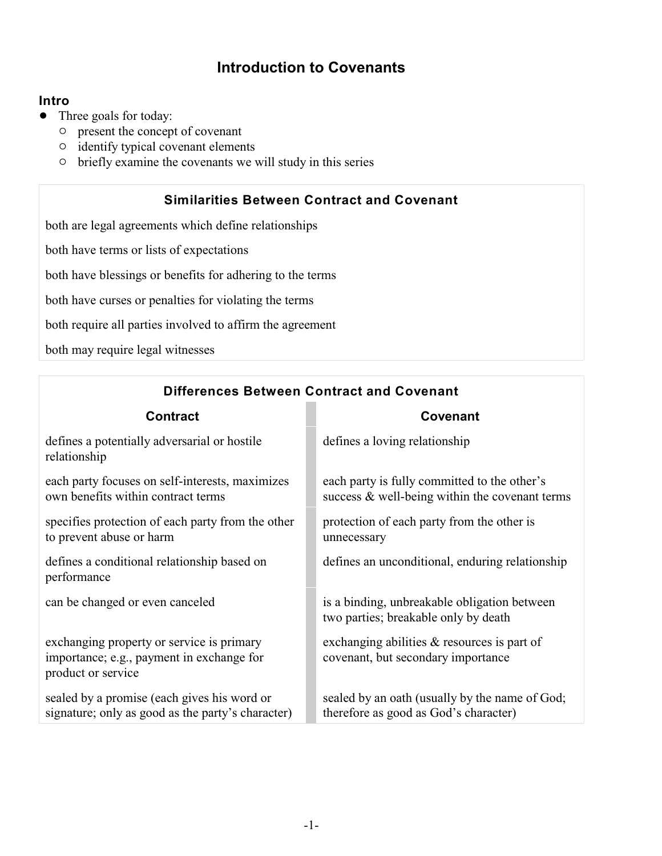# **Introduction to Covenants**

#### **Intro**

- Three goals for today:
	- $\circ$  present the concept of covenant
	- $\circ$  identify typical covenant elements
	- $\circ$  briefly examine the covenants we will study in this series

### **Similarities Between Contract and Covenant**

both are legal agreements which define relationships

both have terms or lists of expectations

both have blessings or benefits for adhering to the terms

both have curses or penalties for violating the terms

both require all parties involved to affirm the agreement

both may require legal witnesses

| <b>Contract</b>                                                                                              | Covenant                                                                                          |
|--------------------------------------------------------------------------------------------------------------|---------------------------------------------------------------------------------------------------|
| defines a potentially adversarial or hostile<br>relationship                                                 | defines a loving relationship                                                                     |
| each party focuses on self-interests, maximizes<br>own benefits within contract terms                        | each party is fully committed to the other's<br>success $\&$ well-being within the covenant terms |
| specifies protection of each party from the other<br>to prevent abuse or harm                                | protection of each party from the other is<br>unnecessary                                         |
| defines a conditional relationship based on<br>performance                                                   | defines an unconditional, enduring relationship                                                   |
| can be changed or even canceled                                                                              | is a binding, unbreakable obligation between<br>two parties; breakable only by death              |
| exchanging property or service is primary<br>importance; e.g., payment in exchange for<br>product or service | exchanging abilities $\&$ resources is part of<br>covenant, but secondary importance              |
| sealed by a promise (each gives his word or<br>signature; only as good as the party's character)             | sealed by an oath (usually by the name of God;<br>therefore as good as God's character)           |

**Differences Between Contract and Covenant**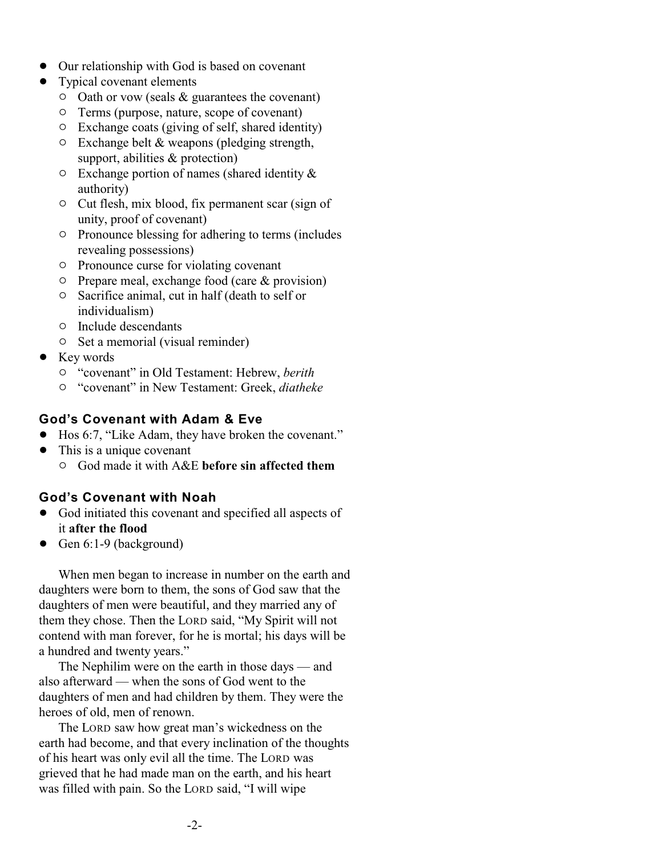- Our relationship with God is based on covenant
- Typical covenant elements
	- $\circ$  Oath or vow (seals & guarantees the covenant)
	- $\circ$  Terms (purpose, nature, scope of covenant)
	- $\circ$  Exchange coats (giving of self, shared identity)
	- $\circ$  Exchange belt & weapons (pledging strength, support, abilities & protection)
	- $\circ$  Exchange portion of names (shared identity  $\&$ authority)
	- $\circ$  Cut flesh, mix blood, fix permanent scar (sign of unity, proof of covenant)
	- $\circ$  Pronounce blessing for adhering to terms (includes revealing possessions)
	- $\circ$  Pronounce curse for violating covenant
	- $\circ$  Prepare meal, exchange food (care & provision)
	- $\circ$  Sacrifice animal, cut in half (death to self or individualism)
	- $\circ$  Include descendants
	- $\circ$  Set a memorial (visual reminder)
- Key words
	- " "covenant" in Old Testament: Hebrew, *berith*
	- " "covenant" in New Testament: Greek, *diatheke*

#### **God's Covenant with Adam & Eve**

- ! Hos 6:7, "Like Adam, they have broken the covenant."
- This is a unique covenant
	- " God made it with A&E **before sin affected them**

#### **God's Covenant with Noah**

- ! God initiated this covenant and specified all aspects of it **after the flood**
- $\bullet$  Gen 6:1-9 (background)

When men began to increase in number on the earth and daughters were born to them, the sons of God saw that the daughters of men were beautiful, and they married any of them they chose. Then the LORD said, "My Spirit will not contend with man forever, for he is mortal; his days will be a hundred and twenty years."

The Nephilim were on the earth in those days — and also afterward — when the sons of God went to the daughters of men and had children by them. They were the heroes of old, men of renown.

The LORD saw how great man's wickedness on the earth had become, and that every inclination of the thoughts of his heart was only evil all the time. The LORD was grieved that he had made man on the earth, and his heart was filled with pain. So the LORD said, "I will wipe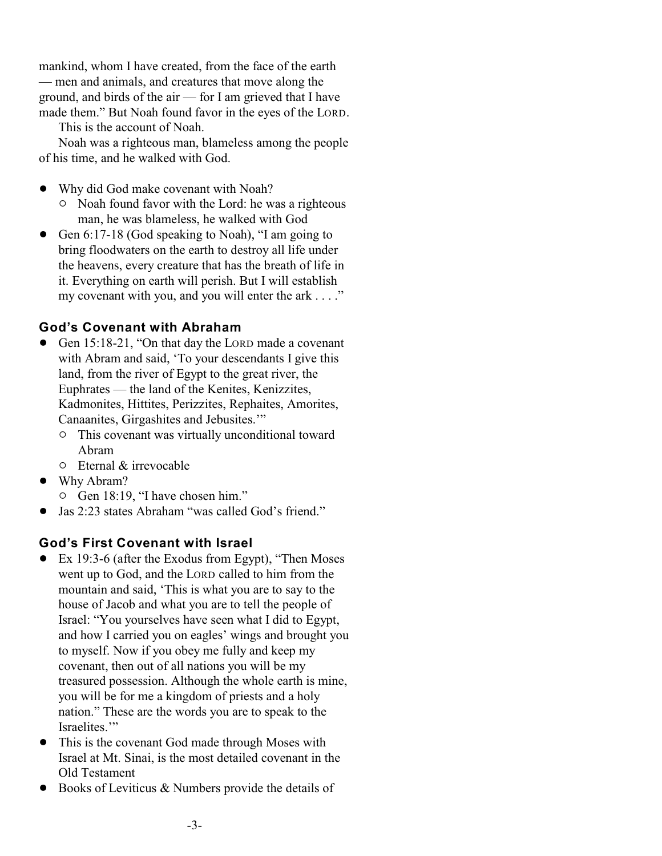mankind, whom I have created, from the face of the earth — men and animals, and creatures that move along the ground, and birds of the air — for I am grieved that I have made them." But Noah found favor in the eyes of the LORD.

This is the account of Noah.

Noah was a righteous man, blameless among the people of his time, and he walked with God.

- Why did God make covenant with Noah?
	- $\circ$  Noah found favor with the Lord: he was a righteous man, he was blameless, he walked with God
- Gen 6:17-18 (God speaking to Noah), "I am going to bring floodwaters on the earth to destroy all life under the heavens, every creature that has the breath of life in it. Everything on earth will perish. But I will establish my covenant with you, and you will enter the ark . . . ."

#### **God's Covenant with Abraham**

- Gen 15:18-21, "On that day the LORD made a covenant with Abram and said, 'To your descendants I give this land, from the river of Egypt to the great river, the Euphrates — the land of the Kenites, Kenizzites, Kadmonites, Hittites, Perizzites, Rephaites, Amorites, Canaanites, Girgashites and Jebusites.'"
	- <sup>o</sup> This covenant was virtually unconditional toward Abram
	- $\circ$  Eternal & irrevocable
- Why Abram?
	- $\circ$  Gen 18:19, "I have chosen him."
- ! Jas 2:23 states Abraham "was called God's friend."

#### **God's First Covenant with Israel**

- ! Ex 19:3-6 (after the Exodus from Egypt), "Then Moses went up to God, and the LORD called to him from the mountain and said, 'This is what you are to say to the house of Jacob and what you are to tell the people of Israel: "You yourselves have seen what I did to Egypt, and how I carried you on eagles' wings and brought you to myself. Now if you obey me fully and keep my covenant, then out of all nations you will be my treasured possession. Although the whole earth is mine, you will be for me a kingdom of priests and a holy nation." These are the words you are to speak to the Israelites."
- ! This is the covenant God made through Moses with Israel at Mt. Sinai, is the most detailed covenant in the Old Testament
- Books of Leviticus  $\&$  Numbers provide the details of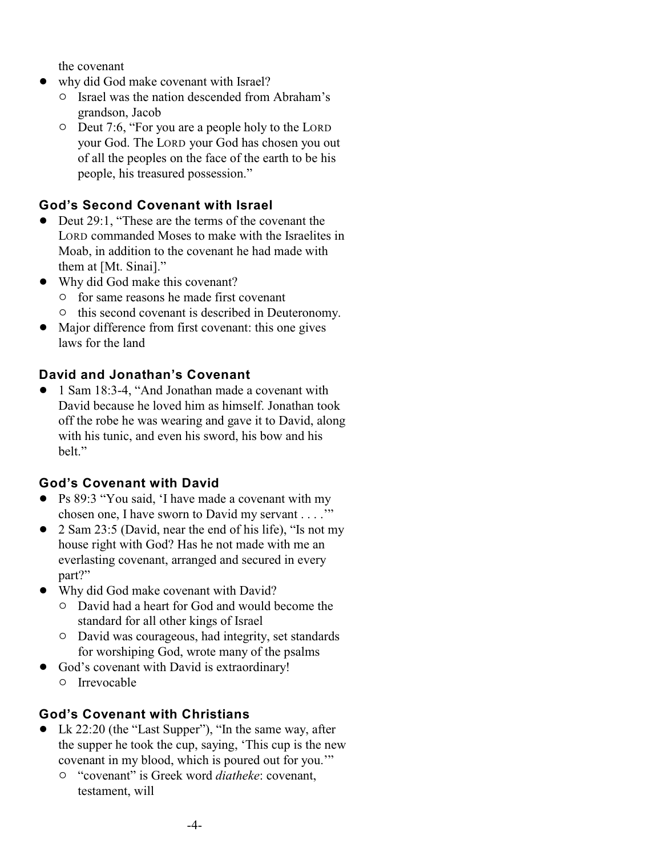the covenant

- why did God make covenant with Israel?
	- $\circ$  Israel was the nation descended from Abraham's grandson, Jacob
	- $\circ$  Deut 7:6, "For you are a people holy to the LORD your God. The LORD your God has chosen you out of all the peoples on the face of the earth to be his people, his treasured possession."

### **God's Second Covenant with Israel**

- Deut 29:1, "These are the terms of the covenant the LORD commanded Moses to make with the Israelites in Moab, in addition to the covenant he had made with them at [Mt. Sinai]."
- Why did God make this covenant?
	- $\circ$  for same reasons he made first covenant
	- $\circ$  this second covenant is described in Deuteronomy.
- Major difference from first covenant: this one gives laws for the land

#### **David and Jonathan's Covenant**

• 1 Sam 18:3-4, "And Jonathan made a covenant with David because he loved him as himself. Jonathan took off the robe he was wearing and gave it to David, along with his tunic, and even his sword, his bow and his belt."

#### **God's Covenant with David**

- ! Ps 89:3 "You said, 'I have made a covenant with my chosen one, I have sworn to David my servant . . . .'"
- ! 2 Sam 23:5 (David, near the end of his life), "Is not my house right with God? Has he not made with me an everlasting covenant, arranged and secured in every part?"
- Why did God make covenant with David?
	- $\circ$  David had a heart for God and would become the standard for all other kings of Israel
	- $\circ$  David was courageous, had integrity, set standards for worshiping God, wrote many of the psalms
- ! God's covenant with David is extraordinary!
	- $\circ$  Irrevocable

#### **God's Covenant with Christians**

- Lk 22:20 (the "Last Supper"), "In the same way, after the supper he took the cup, saying, 'This cup is the new covenant in my blood, which is poured out for you.'"
	- " "covenant" is Greek word *diatheke*: covenant, testament, will